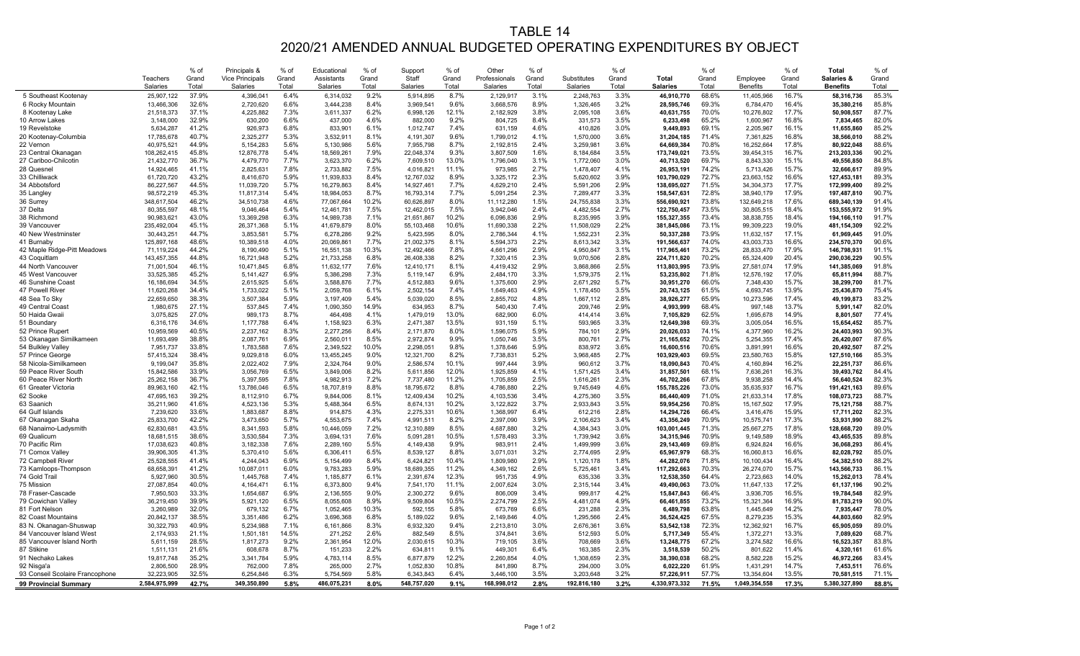## TABLE 14 2020/21 AMENDED ANNUAL BUDGETED OPERATING EXPENDITURES BY OBJECT

|                                                    | <b>Teachers</b><br><b>Salaries</b> | % of<br>Grand<br>Total | Principals &<br><b>Vice Principals</b><br><b>Salaries</b> | % of<br>Grand<br>Total | Educational<br><b>Assistants</b><br><b>Salaries</b> | % of<br>Grand<br>Total | Suppor<br>Staff<br><b>Salaries</b> | % of<br>Grand<br>Total | Other<br>Professionals<br><b>Salaries</b> | % of<br>Grand<br>Total | Substitutes<br><b>Salaries</b> | $%$ of<br>Grand<br>Total | <b>Total</b><br><b>Salaries</b> | % of<br>Grand<br>Total | Employee<br><b>Benefits</b> | % of<br>Grand<br>Total | <b>Total</b><br><b>Salaries &amp;</b><br><b>Benefits</b> | % of<br>Grand<br>Total |
|----------------------------------------------------|------------------------------------|------------------------|-----------------------------------------------------------|------------------------|-----------------------------------------------------|------------------------|------------------------------------|------------------------|-------------------------------------------|------------------------|--------------------------------|--------------------------|---------------------------------|------------------------|-----------------------------|------------------------|----------------------------------------------------------|------------------------|
| 5 Southeast Kootenay                               | 25,907,122                         | 37.9%                  | 4,396,041                                                 | 6.4%                   | 6,314,032                                           | 9.2%                   | 5,914,895                          | 8.7%                   | 2,129,917                                 | 3.1%                   | 2,248,763                      | 3.3%                     | 46,910,77                       | 68.6%                  | 11,405,966                  | 16.7%                  | 58,316,736                                               | 85.3%                  |
| 6 Rocky Mountain                                   | 13,466,306                         | 32.6%                  | 2,720,620                                                 | 6.6%                   | 3,444,238                                           | 8.4%                   | 3,969,541                          | 9.6%                   | 3,668,576                                 | 8.9%                   | 1,326,465                      | 3.2%                     | 28,595,746                      | 69.3%                  | 6,784,470                   | 16.4%                  | 35,380,216                                               | 85.8%                  |
| 8 Kootenay Lake                                    | 21,518,373                         | 37.1%                  | 4,225,882                                                 | 7.3%                   | 3,611,337                                           | 6.2%                   | 6,998,126                          | 12.1%                  | 2,182,929                                 | 3.8%                   | 2,095,108                      | 3.6%                     | 40,631,755                      | 70.0%                  | 10,276,802                  | 17.7%                  | 50,908,557                                               | 87.7%                  |
| 10 Arrow Lakes                                     | 3,148,000                          | 32.9%                  | 630,200                                                   | 6.6%                   | 437,000                                             | 4.6%                   | 882,000                            | 9.2%                   | 804,725                                   | 8.4%                   | 331,573                        | 3.5%                     | 6,233,498                       | 65.2%                  | 1,600,96                    | 16.8%                  | 7,834,465                                                | 82.0%                  |
| 19 Revelstoke                                      | 5,634,28                           | 41.2%                  | 926,973                                                   | 6.8%                   | 833,90                                              | 6.1%                   | 1,012,747                          | 7.4%                   | 631,159                                   | 4.6%                   | 410,826                        | 3.0%                     | 9,449,893                       | 69.1%                  | 2,205,967                   | 16.1%                  | 11,655,860                                               | 85.2%                  |
| 20 Kootenay-Columbia                               | 17,785,678                         | 40.7%                  | 2,325,277                                                 | 5.3%                   | 3,532,911                                           | 8.1%                   | 4,191,307                          | 9.6%                   | 1,799,012                                 | 4.1%                   | 1,570,000                      | 3.6%                     | 31,204,185                      | 71.4%                  | 7,361,825                   | 16.8%                  | 38,566,010                                               | 88.2%                  |
| 22 Vernon                                          | 40,975,521                         | 44.9%                  | 5,154,283                                                 | 5.6%                   | 5,130,986                                           | 5.6%                   | 7,955,798                          | 8.7%                   | 2,192,815                                 | 2.4%                   | 3,259,98                       | 3.6%                     | 64,669,384                      | 70.8%                  | 16,252,664                  | 17.8%                  | 80,922,048                                               | 88.6%                  |
| 23 Central Okanagan                                | 108,262,415                        | 45.8%                  | 12,876,778                                                | 5.4%                   | 18,569,261                                          | 7.9%                   | 22,048,374                         | 9.3%                   | 3,807,509                                 | 1.6%                   | 8,184,684                      | 3.5%                     | 173,749,021                     | 73.5%                  | 39,454,315                  | 16.7%                  | 213,203,336                                              | 90.2%                  |
| 27 Cariboo-Chilcotin<br>28 Quesnel                 | 21,432,770                         | 36.7%<br>41.1%         | 4,479,770                                                 | 7.7%<br>7.8%           | 3,623,370                                           | 6.2%<br>7.5%           | 7,609,510                          | 13.0%<br>11.1%         | 1,796,040                                 | 3.1%<br>2.7%           | 1,772,060                      | 3.0%<br>4.1%             | 40,713,520                      | 69.7%<br>74.2%         | 8,843,330                   | 15.1%<br>15.7%         | 49,556,850<br>32,666,617                                 | 84.8%<br>89.9%         |
| 33 Chilliwack                                      | 14,924,465<br>61,720,720           | 43.2%                  | 2,825,631<br>8,416,670                                    | 5.9%                   | 2,733,882<br>11,939,833                             | 8.4%                   | 4,016,821<br>12,767,032            | 8.9%                   | 973,985<br>3,325,172                      | 2.3%                   | 1,478,407<br>5,620,602         | 3.9%                     | 26,953,191<br>103,790,029       | 72.7%                  | 5,713,426<br>23,663,152     | 16.6%                  | 127,453,181                                              | 89.3%                  |
| 34 Abbotsford                                      | 86,227,567                         | 44.5%                  | 11,039,720                                                | 5.7%                   | 16,279,863                                          | 8.4%                   | 14,927,46                          | 7.7%                   | 4,629,210                                 | 2.4%                   | 5,591,206                      | 2.9%                     | 138,695,027                     | 71.5%                  | 34,304,373                  | 17.7%                  | 172,999,400                                              | 89.2%                  |
| 35 Langley                                         | 98,572,219                         | 45.3%                  | 11,817,314                                                | 5.4%                   | 18,984,053                                          | 8.7%                   | 16,793,314                         | 7.7%                   | 5,091,254                                 | 2.3%                   | 7,289,47                       | 3.3%                     | 158,547,63                      | 72.8%                  | 38,940,179                  | 17.9%                  | 197,487,810                                              | 90.7%                  |
| 36 Surrey                                          | 348,617,504                        | 46.2%                  | 34,510,738                                                | 4.6%                   | 77,067,664                                          | 10.2%                  | 60,626,897                         | 8.0%                   | 11,112,280                                | 1.5%                   | 24,755,838                     | 3.3%                     | 556,690,92                      | 73.8%                  | 132,649,218                 | 17.6%                  | 689,340,139                                              | 91.4%                  |
| 37 Delta                                           | 80,355,597                         | 48.1%                  | 9,046,464                                                 | 5.4%                   | 12,461,78                                           | 7.5%                   | 12,462,015                         | 7.5%                   | 3,942,046                                 | 2.4%                   | 4,482,554                      | 2.7%                     | 122,750,457                     | 73.5%                  | 30,805,515                  | 18.4%                  | 153,555,972                                              | 91.9%                  |
| 38 Richmond                                        | 90,983,621                         | 43.0%                  | 13,369,298                                                | 6.3%                   | 14,989,738                                          | 7.1%                   | 21,651,867                         | 10.2%                  | 6,096,836                                 | 2.9%                   | 8,235,995                      | 3.9%                     | 155,327,355                     | 73.4%                  | 38,838,755                  | 18.4%                  | 194,166,110                                              | 91.7%                  |
| 39 Vancouver                                       | 235,492,004                        | 45.1%                  | 26,371,368                                                | 5.1%                   | 41,679,879                                          | 8.0%                   | 55,103,468                         | 10.6%                  | 11,690,338                                | 2.2%                   | 11,508,029                     | 2.2%                     | 381,845,086                     | 73.1%                  | 99,309,223                  | 19.0%                  | 481,154,309                                              | 92.2%                  |
| 40 New Westminster                                 | 30,443,25                          | 44.7%                  | 3,853,58'                                                 | 5.7%                   | 6,278,286                                           | 9.2%                   | 5,423,595                          | 8.0%                   | 2,786,344                                 | 4.1%                   | 1,552,23                       | 2.3%                     | 50,337,288                      | 73.9%                  | 11,632,157                  | 17.1%                  | 61,969,445                                               | 91.0%                  |
| 41 Burnaby                                         | 125,897,168                        | 48.6%                  | 10,389,518                                                | 4.0%                   | 20,069,861                                          | 7.7%                   | 21,002,375                         | 8.1%                   | 5,594,373                                 | 2.2%                   | 8,613,342                      | 3.3%                     | 191,566,637                     | 74.0%                  | 43,003,733                  | 16.6%                  | 234,570,370                                              | 90.6%                  |
| 42 Maple Ridge-Pitt Meadows                        | 71,119,224                         | 44.2%                  | 8,190,490                                                 | 5.1%                   | 16,551,138                                          | 10.3%                  | 12,492,466                         | 7.8%                   | 4,661,296                                 | 2.9%                   | 4,950,847                      | 3.1%                     | 117,965,46                      | 73.2%                  | 28,833,470                  | 17.9%                  | 146,798,931                                              | 91.1%                  |
| 43 Coquitlam                                       | 143,457,355                        | 44.8%                  | 16,721,948                                                | 5.2%                   | 21,733,258                                          | 6.8%                   | 26,408,338                         | 8.2%                   | 7,320,415                                 | 2.3%                   | 9,070,506                      | 2.8%                     | 224,711,820                     | 70.2%                  | 65,324,409                  | 20.4%                  | 290,036,229                                              | 90.5%                  |
| 44 North Vancouver                                 | 71,001,504                         | 46.1%                  | 10,471,845                                                | 6.8%                   | 11,632,177                                          | 7.6%                   | 12,410,171                         | 8.1%                   | 4,419,432                                 | 2.9%                   | 3,868,866                      | 2.5%                     | 113,803,995                     | 73.9%                  | 27,581,074                  | 17.9%                  | 141,385,069                                              | 91.8%                  |
| 45 West Vancouver                                  | 33,525,385                         | 45.2%                  | 5, 141, 427                                               | 6.9%                   | 5,386,298                                           | 7.3%                   | 5,119,147                          | 6.9%                   | 2,484,170                                 | 3.3%                   | 1,579,375                      | 2.1%                     | 53,235,802                      | 71.8%                  | 12,576,192                  | 17.0%                  | 65,811,994                                               | 88.7%                  |
| 46 Sunshine Coast                                  | 16,186,694                         | 34.5%                  | 2,615,925                                                 | 5.6%                   | 3,588,876                                           | 7.7%                   | 4,512,883                          | 9.6%                   | 1,375,600                                 | 2.9%<br>4.9%           | 2,671,292                      | 5.7%<br>3.5%             | 30,951,270                      | 66.0%                  | 7,348,430                   | 15.7%                  | 38,299,700                                               | 81.7%                  |
| 47 Powell River<br>48 Sea To Sky                   | 11,620,268<br>22,659,650           | 34.4%<br>38.3%         | 1,733,022<br>3,507,384                                    | 5.1%<br>5.9%           | 2,059,768<br>3,197,409                              | 6.1%<br>5.4%           | 2,502,154<br>5,039,020             | 7.4%<br>8.5%           | 1,649,463<br>2,855,702                    | 4.8%                   | 1,178,450<br>1,667,112         | 2.8%                     | 20,743,125<br>38,926,277        | 61.5%<br>65.9%         | 4,693,745<br>10,273,596     | 13.9%<br>17.4%         | 25,436,870<br>49,199,873                                 | 75.4%<br>83.2%         |
| 49 Central Coast                                   | 1,980,675                          | 27.1%                  | 537,845                                                   | 7.4%                   | 1,090,350                                           | 14.9%                  | 634,953                            | 8.7%                   | 540,430                                   | 7.4%                   | 209,746                        | 2.9%                     | 4,993,999                       | 68.4%                  | 997,148                     | 13.7%                  | 5,991,147                                                | 82.0%                  |
| 50 Haida Gwaii                                     | 3,075,825                          | 27.0%                  | 989,173                                                   | 8.7%                   | 464,498                                             | 4.1%                   | 1,479,019                          | 13.0%                  | 682,900                                   | 6.0%                   | 414,414                        | 3.6%                     | 7,105,829                       | 62.5%                  | 1,695,678                   | 14.9%                  | 8,801,507                                                | 77.4%                  |
| 51 Boundary                                        | 6,316,176                          | 34.6%                  | 1,177,788                                                 | 6.4%                   | 1,158,923                                           | 6.3%                   | 2,471,387                          | 13.5%                  | 931,159                                   | 5.1%                   | 593,965                        | 3.3%                     | 12,649,398                      | 69.3%                  | 3,005,054                   | 16.5%                  | 15,654,452                                               | 85.7%                  |
| 52 Prince Rupert                                   | 10,959,569                         | 40.5%                  | 2,237,162                                                 | 8.3%                   | 2,277,256                                           | 8.4%                   | 2,171,870                          | 8.0%                   | 596,075                                   | 5.9%                   | 784,101                        | 2.9%                     | 20,026,033                      | 74.1%                  | 4,377,960                   | 16.2%                  | 24,403,993                                               | 90.3%                  |
| 53 Okanagan Similkameen                            | 11,693,499                         | 38.8%                  | 2,087,761                                                 | 6.9%                   | 2,560,011                                           | 8.5%                   | 2,972,874                          | 9.9%                   | 1,050,746                                 | 3.5%                   | 800,761                        | 2.7%                     | 21,165,652                      | 70.2%                  | 5,254,355                   | 17.4%                  | 26,420,007                                               | 87.6%                  |
| 54 Bulkley Valley                                  | 7,951,737                          | 33.8%                  | 1,783,588                                                 | 7.6%                   | 2,349,522                                           | 10.0%                  | 2,298,051                          | 9.8%                   | 1,378,646                                 | 5.9%                   | 838,972                        | 3.6%                     | 16,600,516                      | 70.6%                  | 3,891,991                   | 16.6%                  | 20,492,507                                               | 87.2%                  |
| 57 Prince George                                   | 57,415,324                         | 38.4%                  | 9,029,818                                                 | 6.0%                   | 13,455,245                                          | 9.0%                   | 12,321,700                         | 8.2%                   | 7,738,83                                  | 5.2%                   | 3,968,485                      | 2.7%                     | 103,929,403                     | 69.5%                  | 23,580,763                  | 15.8%                  | 127,510,166                                              | 85.3%                  |
| 58 Nicola-Similkameen                              | 9,199,047                          | 35.8%                  | 2,022,402                                                 | 7.9%                   | 2,324,764                                           | 9.0%                   | 2,586,574                          | 10.1%                  | 997,444                                   | 3.9%                   | 960,612                        | 3.7%                     | 18,090,843                      | 70.4%                  | 4,160,894                   | 16.2%                  | 22,251,737                                               | 86.6%                  |
| 59 Peace River South                               | 15,842,586                         | 33.9%                  | 3,056,769                                                 | 6.5%                   | 3,849,006                                           | 8.2%                   | 5,611,856                          | 12.0%                  | 1,925,859                                 | 4.1%                   | 1,571,425                      | 3.4%                     | 31,857,501                      | 68.1%                  | 7,636,261                   | 16.3%                  | 39,493,762                                               | 84.4%                  |
| 60 Peace River North                               | 25,262,158                         | 36.7%                  | 5,397,595                                                 | 7.8%                   | 4,982,913                                           | 7.2%                   | 7,737,480                          | 11.2%                  | 1,705,859                                 | 2.5%                   | 1,616,26                       | 2.3%                     | 46,702,266                      | 67.8%                  | 9,938,258                   | 14.4%                  | 56,640,524                                               | 82.3%                  |
| 61 Greater Victoria                                | 89,963,160                         | 42.1%                  | 13,786,046                                                | 6.5%                   | 18,707,819                                          | 8.8%                   | 18,795,672                         | 8.8%                   | 4,786,880                                 | 2.2%                   | 9,745,649                      | 4.6%                     | 155,785,226                     | 73.0%                  | 35,635,937                  | 16.7%                  | 191,421,163                                              | 89.6%                  |
| 62 Sooke                                           | 47,695,163                         | 39.2%                  | 8,112,910                                                 | 6.7%                   | 9,844,006                                           | 8.1%                   | 12,409,434                         | 10.2%                  | 4,103,536                                 | 3.4%                   | 4,275,360                      | 3.5%                     | 86,440,409                      | 71.0%                  | 21,633,314                  | 17.8%                  | 108,073,723                                              | 88.7%                  |
| 63 Saanich<br>64 Gulf Islands                      | 35,211,960                         | 41.6%<br>33.6%         | 4,523,136                                                 | 5.3%<br>8.8%           | 5,488,364                                           | 6.5%<br>4.3%           | 8,674,131                          | 10.2%<br>10.6%         | 3,122,822                                 | 3.7%<br>6.4%           | 2,933,843                      | 3.5%<br>2.8%             | 59,954,256                      | 70.8%<br>66.4%         | 15,167,502                  | 17.9%<br>15.9%         | 75,121,758                                               | 88.7%<br>82.3%         |
| 67 Okanagan Skaha                                  | 7,239,620<br>25,833,700            | 42.2%                  | 1,883,687<br>3,473,650                                    | 5.7%                   | 914,875<br>4,553,675                                | 7.4%                   | 2,275,331<br>4,991,511             | 8.2%                   | 1,368,997<br>2,397,090                    | 3.9%                   | 612,216<br>2,106,623           | 3.4%                     | 14,294,726<br>43,356,249        | 70.9%                  | 3,416,476<br>10,575,741     | 17.3%                  | 17,711,202<br>53,931,990                                 | 88.2%                  |
| 68 Nanaimo-Ladysmith                               | 62,830,681                         | 43.5%                  | 8,341,593                                                 | 5.8%                   | 10,446,059                                          | 7.2%                   | 12,310,889                         | 8.5%                   | 4,687,880                                 | 3.2%                   | 4,384,343                      | 3.0%                     | 103,001,445                     | 71.3%                  | 25,667,275                  | 17.8%                  | 128,668,720                                              | 89.0%                  |
| 69 Qualicum                                        | 18,681,515                         | 38.6%                  | 3,530,584                                                 | 7.3%                   | 3,694,131                                           | 7.6%                   | 5,091,281                          | 10.5%                  | 1,578,493                                 | 3.3%                   | 1,739,942                      | 3.6%                     | 34,315,946                      | 70.9%                  | 9,149,589                   | 18.9%                  | 43,465,535                                               | 89.8%                  |
| 70 Pacific Rim                                     | 17,038,623                         | 40.8%                  | 3,182,338                                                 | 7.6%                   | 2,289,160                                           | 5.5%                   | 4,149,438                          | 9.9%                   | 983,911                                   | 2.4%                   | 1,499,999                      | 3.6%                     | 29,143,469                      | 69.8%                  | 6,924,824                   | 16.6%                  | 36,068,293                                               | 86.4%                  |
| 71 Comox Valley                                    | 39,906,305                         | 41.3%                  | 5,370,410                                                 | 5.6%                   | 6,306,411                                           | 6.5%                   | 8,539,127                          | 8.8%                   | 3,071,03'                                 | 3.2%                   | 2,774,695                      | 2.9%                     | 65,967,979                      | 68.3%                  | 16,060,813                  | 16.6%                  | 82,028,792                                               | 85.0%                  |
| 72 Campbell River                                  | 25,528,555                         | 41.4%                  | 4,244,043                                                 | 6.9%                   | 5,154,499                                           | 8.4%                   | 6,424,821                          | 10.4%                  | 1,809,980                                 | 2.9%                   | 1,120,178                      | 1.8%                     | 44,282,076                      | 71.8%                  | 10,100,434                  | 16.4%                  | 54,382,510                                               | 88.2%                  |
| 73 Kamloops-Thompson                               | 68,658,391                         | 41.2%                  | 10,087,011                                                | 6.0%                   | 9,783,283                                           | 5.9%                   | 18,689,355                         | 11.2%                  | 4,349,162                                 | 2.6%                   | 5,725,461                      | 3.4%                     | 117,292,663                     | 70.3%                  | 26,274,070                  | 15.7%                  | 143,566,733                                              | 86.1%                  |
| 74 Gold Trail                                      | 5,927,960                          | 30.5%                  | 1,445,768                                                 | 7.4%                   | 1,185,877                                           | 6.1%                   | 2,391,674                          | 12.3%                  | 951,735                                   | 4.9%                   | 635,336                        | 3.3%                     | 12,538,350                      | 64.4%                  | 2,723,663                   | 14.0%                  | 15,262,013                                               | 78.4%                  |
| 75 Mission                                         | 27,087,854                         | 40.0%                  | 4,164,47'                                                 | 6.1%                   | 6,373,800                                           | 9.4%                   | 7,541,170                          | 11.1%                  | 2,007,624                                 | 3.0%                   | 2,315,144                      | 3.4%                     | 49,490,063                      | 73.0%                  | 11,647,133                  | 17.2%                  | 61,137,196                                               | 90.2%                  |
| 78 Fraser-Cascade                                  | 7,950,503                          | 33.3%                  | 1,654,687                                                 | 6.9%                   | 2,136,555                                           | 9.0%                   | 2,300,272                          | 9.6%                   | 806,009                                   | 3.4%                   | 999,81                         | 4.2%                     | 15,847,843                      | 66.4%                  | 3,936,705                   | 16.5%                  | 19,784,548                                               | 82.9%                  |
| 79 Cowichan Valley                                 | 36,219,450                         | 39.9%                  | 5,921,120                                                 | 6.5%                   | 8,055,608                                           | 8.9%                   | 9,509,804                          | 10.5%                  | 2,274,799                                 | 2.5%                   | 4,481,074                      | 4.9%                     | 66,461,855                      | 73.2%                  | 15,321,364                  | 16.9%                  | 81,783,219                                               | 90.0%                  |
| 81 Fort Nelson                                     | 3,260,989                          | 32.0%                  | 679,132                                                   | 6.7%                   | 1,052,465                                           | 10.3%                  | 592,155                            | 5.8%                   | 673,769                                   | 6.6%                   | 231,288                        | 2.3%                     | 6,489,798                       | 63.8%                  | 1,445,649                   | 14.2%                  | 7,935,447                                                | 78.0%                  |
| 82 Coast Mountains                                 | 20,842,137                         | 38.5%                  | 3,351,486                                                 | 6.2%                   | 3,696,368                                           | 6.8%                   | 5,189,022                          | 9.6%                   | 2,149,846                                 | 4.0%                   | 1,295,566                      | 2.4%                     | 36,524,425                      | 67.5%                  | 8,279,235                   | 15.3%                  | 44,803,660                                               | 82.9%                  |
| 83 N. Okanagan-Shuswap<br>84 Vancouver Island West | 30,322,793<br>2,174,933            | 40.9%<br>21.1%         | 5,234,988                                                 | 7.1%<br>14.5%          | 6,161,866<br>271,252                                | 8.3%<br>2.6%           | 6,932,320<br>882,549               | 9.4%<br>8.5%           | 2,213,810                                 | 3.0%<br>3.6%           | 2,676,36<br>512,593            | 3.6%<br>5.0%             | 53,542,138                      | 72.3%<br>55.4%         | 12,362,921                  | 16.7%<br>13.3%         | 65,905,059                                               | 89.0%<br>68.7%         |
| 85 Vancouver Island North                          | 5,611,159                          | 28.5%                  | 1,501,181<br>1,817,273                                    | 9.2%                   | 2,361,954                                           | 12.0%                  | 2,030,615                          | 10.3%                  | 374,841<br>719,105                        | 3.6%                   | 708,669                        | 3.6%                     | 5,717,349<br>13,248,775         | 67.2%                  | 1,372,271<br>3,274,582      | 16.6%                  | 7,089,620<br>16,523,357                                  | 83.8%                  |
| 87 Stikine                                         | 1,511,13'                          | 21.6%                  | 608,678                                                   | 8.7%                   | 151,233                                             | 2.2%                   | 634,81                             | 9.1%                   | 449,30                                    | 6.4%                   | 163,385                        | 2.3%                     | 3,518,539                       | 50.2%                  | 801,622                     | 11.4%                  | 4,320,16                                                 | 61.6%                  |
| 91 Nechako Lakes                                   | 19,817,748                         | 35.2%                  | 3,341,784                                                 | 5.9%                   | 4,783,114                                           | 8.5%                   | 6,877,879                          | 12.2%                  | 2,260,854                                 | 4.0%                   | 1,308,659                      | 2.3%                     | 38,390,038                      | 68.2%                  | 8,582,228                   | 15.2%                  | 46,972,266                                               | 83.4%                  |
| 92 Nisga'a                                         | 2,806,500                          | 28.9%                  | 762,000                                                   | 7.8%                   | 265,000                                             | 2.7%                   | 1,052,830                          | 10.8%                  | 841,890                                   | 8.7%                   | 294,000                        | 3.0%                     | 6,022,220                       | 61.9%                  | 1,431,291                   | 14.7%                  | 7,453,511                                                | 76.6%                  |
| 93 Conseil Scolaire Francophone                    | 32,223,905                         | 32.5%                  | 6,254,846                                                 | 6.3%                   | 5,754,569                                           | 5.8%                   | 6,343,843                          | 6.4%                   | 3,446,100                                 | 3.5%                   | 3,203,648                      | 3.2%                     | 57,226,91                       | 57.7%                  | 13,354,604                  | 13.5%                  | 70,581,515                                               | 71.1%                  |
| 99 Provincial Summary                              | 2,584,975,999                      | 42.7%                  | 349,350,890                                               | 5.8%                   | 486,075,231                                         | 8.0%                   | 548,757,020                        | 9.1%                   | 168,998,012                               | 2.8%                   | 192,816,180                    | 3.2%                     | 4,330,973,332                   | 71.5%                  | 1,049,354,558               | 17.3%                  | 5,380,327,890                                            | 88.8%                  |